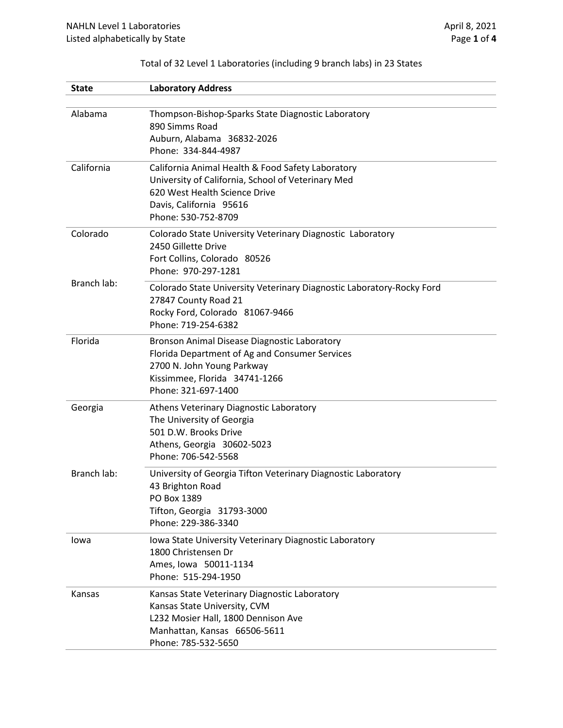| <b>State</b> | <b>Laboratory Address</b>                                                                                                                                                                  |
|--------------|--------------------------------------------------------------------------------------------------------------------------------------------------------------------------------------------|
| Alabama      | Thompson-Bishop-Sparks State Diagnostic Laboratory<br>890 Simms Road<br>Auburn, Alabama 36832-2026<br>Phone: 334-844-4987                                                                  |
| California   | California Animal Health & Food Safety Laboratory<br>University of California, School of Veterinary Med<br>620 West Health Science Drive<br>Davis, California 95616<br>Phone: 530-752-8709 |
| Colorado     | Colorado State University Veterinary Diagnostic Laboratory<br>2450 Gillette Drive<br>Fort Collins, Colorado 80526<br>Phone: 970-297-1281                                                   |
| Branch lab:  | Colorado State University Veterinary Diagnostic Laboratory-Rocky Ford<br>27847 County Road 21<br>Rocky Ford, Colorado 81067-9466<br>Phone: 719-254-6382                                    |
| Florida      | Bronson Animal Disease Diagnostic Laboratory<br>Florida Department of Ag and Consumer Services<br>2700 N. John Young Parkway<br>Kissimmee, Florida 34741-1266<br>Phone: 321-697-1400       |
| Georgia      | Athens Veterinary Diagnostic Laboratory<br>The University of Georgia<br>501 D.W. Brooks Drive<br>Athens, Georgia 30602-5023<br>Phone: 706-542-5568                                         |
| Branch lab:  | University of Georgia Tifton Veterinary Diagnostic Laboratory<br>43 Brighton Road<br>PO Box 1389<br>Tifton, Georgia 31793-3000<br>Phone: 229-386-3340                                      |
| lowa         | Iowa State University Veterinary Diagnostic Laboratory<br>1800 Christensen Dr<br>Ames, Iowa 50011-1134<br>Phone: 515-294-1950                                                              |
| Kansas       | Kansas State Veterinary Diagnostic Laboratory<br>Kansas State University, CVM<br>L232 Mosier Hall, 1800 Dennison Ave<br>Manhattan, Kansas 66506-5611<br>Phone: 785-532-5650                |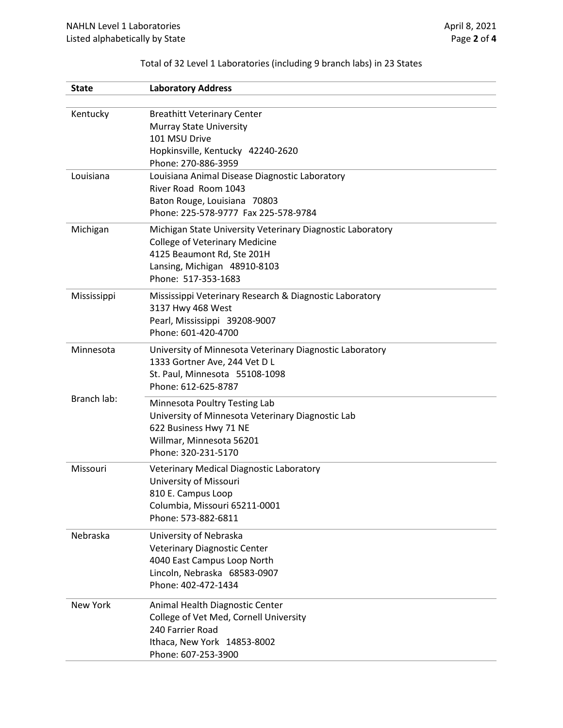| State           | <b>Laboratory Address</b>                                            |
|-----------------|----------------------------------------------------------------------|
|                 |                                                                      |
| Kentucky        | <b>Breathitt Veterinary Center</b>                                   |
|                 | <b>Murray State University</b>                                       |
|                 | 101 MSU Drive                                                        |
|                 | Hopkinsville, Kentucky 42240-2620                                    |
|                 | Phone: 270-886-3959                                                  |
| Louisiana       | Louisiana Animal Disease Diagnostic Laboratory                       |
|                 | River Road Room 1043                                                 |
|                 | Baton Rouge, Louisiana 70803<br>Phone: 225-578-9777 Fax 225-578-9784 |
|                 |                                                                      |
| Michigan        | Michigan State University Veterinary Diagnostic Laboratory           |
|                 | <b>College of Veterinary Medicine</b>                                |
|                 | 4125 Beaumont Rd, Ste 201H                                           |
|                 | Lansing, Michigan 48910-8103                                         |
|                 | Phone: 517-353-1683                                                  |
| Mississippi     | Mississippi Veterinary Research & Diagnostic Laboratory              |
|                 | 3137 Hwy 468 West                                                    |
|                 | Pearl, Mississippi 39208-9007                                        |
|                 | Phone: 601-420-4700                                                  |
| Minnesota       | University of Minnesota Veterinary Diagnostic Laboratory             |
|                 | 1333 Gortner Ave, 244 Vet D L                                        |
|                 | St. Paul, Minnesota 55108-1098                                       |
| Branch lab:     | Phone: 612-625-8787                                                  |
|                 | Minnesota Poultry Testing Lab                                        |
|                 | University of Minnesota Veterinary Diagnostic Lab                    |
|                 | 622 Business Hwy 71 NE                                               |
|                 | Willmar, Minnesota 56201                                             |
|                 | Phone: 320-231-5170                                                  |
| Missouri        | Veterinary Medical Diagnostic Laboratory                             |
|                 | University of Missouri                                               |
|                 | 810 E. Campus Loop                                                   |
|                 | Columbia, Missouri 65211-0001<br>Phone: 573-882-6811                 |
|                 |                                                                      |
| Nebraska        | University of Nebraska                                               |
|                 | <b>Veterinary Diagnostic Center</b>                                  |
|                 | 4040 East Campus Loop North<br>Lincoln, Nebraska 68583-0907          |
|                 | Phone: 402-472-1434                                                  |
|                 |                                                                      |
| <b>New York</b> | Animal Health Diagnostic Center                                      |
|                 | College of Vet Med, Cornell University<br>240 Farrier Road           |
|                 | Ithaca, New York 14853-8002                                          |
|                 |                                                                      |
|                 | Phone: 607-253-3900                                                  |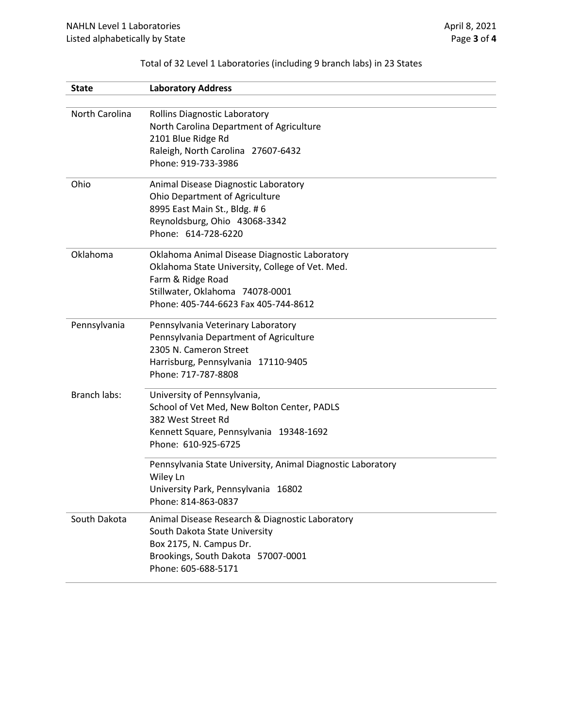| <b>State</b>   | <b>Laboratory Address</b>                                                                                                                                                                                                         |
|----------------|-----------------------------------------------------------------------------------------------------------------------------------------------------------------------------------------------------------------------------------|
|                |                                                                                                                                                                                                                                   |
| North Carolina | <b>Rollins Diagnostic Laboratory</b><br>North Carolina Department of Agriculture<br>2101 Blue Ridge Rd<br>Raleigh, North Carolina 27607-6432<br>Phone: 919-733-3986                                                               |
| Ohio           | Animal Disease Diagnostic Laboratory<br>Ohio Department of Agriculture<br>8995 East Main St., Bldg. #6<br>Reynoldsburg, Ohio 43068-3342<br>Phone: 614-728-6220                                                                    |
| Oklahoma       | Oklahoma Animal Disease Diagnostic Laboratory<br>Oklahoma State University, College of Vet. Med.<br>Farm & Ridge Road<br>Stillwater, Oklahoma 74078-0001<br>Phone: 405-744-6623 Fax 405-744-8612                                  |
| Pennsylvania   | Pennsylvania Veterinary Laboratory<br>Pennsylvania Department of Agriculture<br>2305 N. Cameron Street<br>Harrisburg, Pennsylvania 17110-9405<br>Phone: 717-787-8808                                                              |
| Branch labs:   | University of Pennsylvania,<br>School of Vet Med, New Bolton Center, PADLS<br>382 West Street Rd<br>Kennett Square, Pennsylvania 19348-1692<br>Phone: 610-925-6725<br>Pennsylvania State University, Animal Diagnostic Laboratory |
|                | Wiley Ln<br>University Park, Pennsylvania 16802<br>Phone: 814-863-0837                                                                                                                                                            |
| South Dakota   | Animal Disease Research & Diagnostic Laboratory<br>South Dakota State University<br>Box 2175, N. Campus Dr.<br>Brookings, South Dakota 57007-0001<br>Phone: 605-688-5171                                                          |